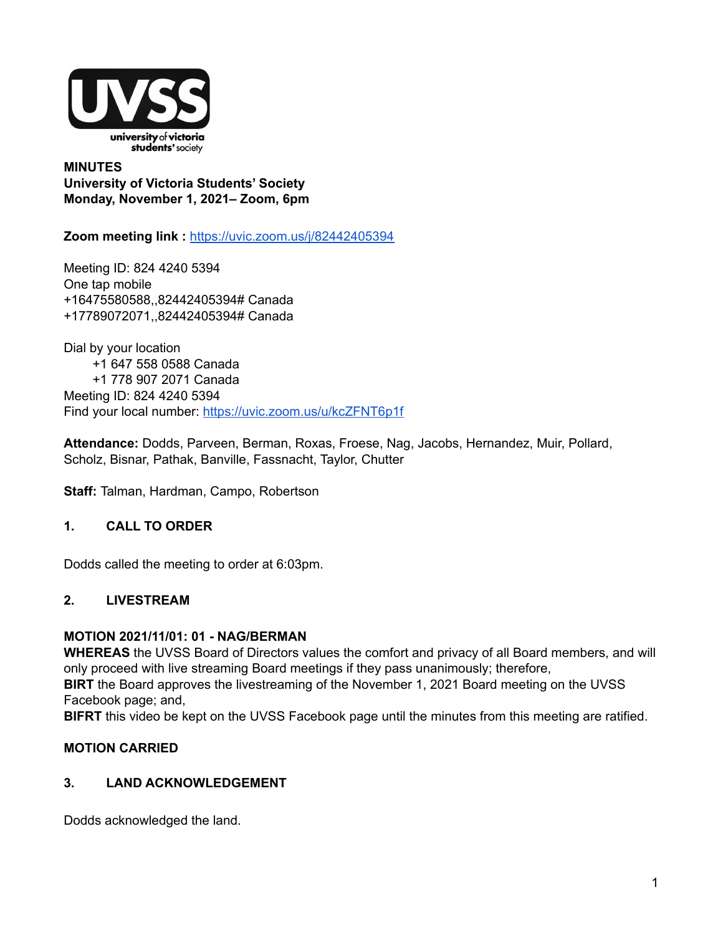

**MINUTES University of Victoria Students' Society Monday, November 1, 2021– Zoom, 6pm**

**Zoom meeting link :** <https://uvic.zoom.us/j/82442405394>

Meeting ID: 824 4240 5394 One tap mobile +16475580588,,82442405394# Canada +17789072071,,82442405394# Canada

Dial by your location +1 647 558 0588 Canada +1 778 907 2071 Canada Meeting ID: 824 4240 5394 Find your local number: <https://uvic.zoom.us/u/kcZFNT6p1f>

**Attendance:** Dodds, Parveen, Berman, Roxas, Froese, Nag, Jacobs, Hernandez, Muir, Pollard, Scholz, Bisnar, Pathak, Banville, Fassnacht, Taylor, Chutter

**Staff:** Talman, Hardman, Campo, Robertson

### **1. CALL TO ORDER**

Dodds called the meeting to order at 6:03pm.

#### **2. LIVESTREAM**

#### **MOTION 2021/11/01: 01 - NAG/BERMAN**

**WHEREAS** the UVSS Board of Directors values the comfort and privacy of all Board members, and will only proceed with live streaming Board meetings if they pass unanimously; therefore,

**BIRT** the Board approves the livestreaming of the November 1, 2021 Board meeting on the UVSS Facebook page; and,

**BIFRT** this video be kept on the UVSS Facebook page until the minutes from this meeting are ratified.

### **MOTION CARRIED**

#### **3. LAND ACKNOWLEDGEMENT**

Dodds acknowledged the land.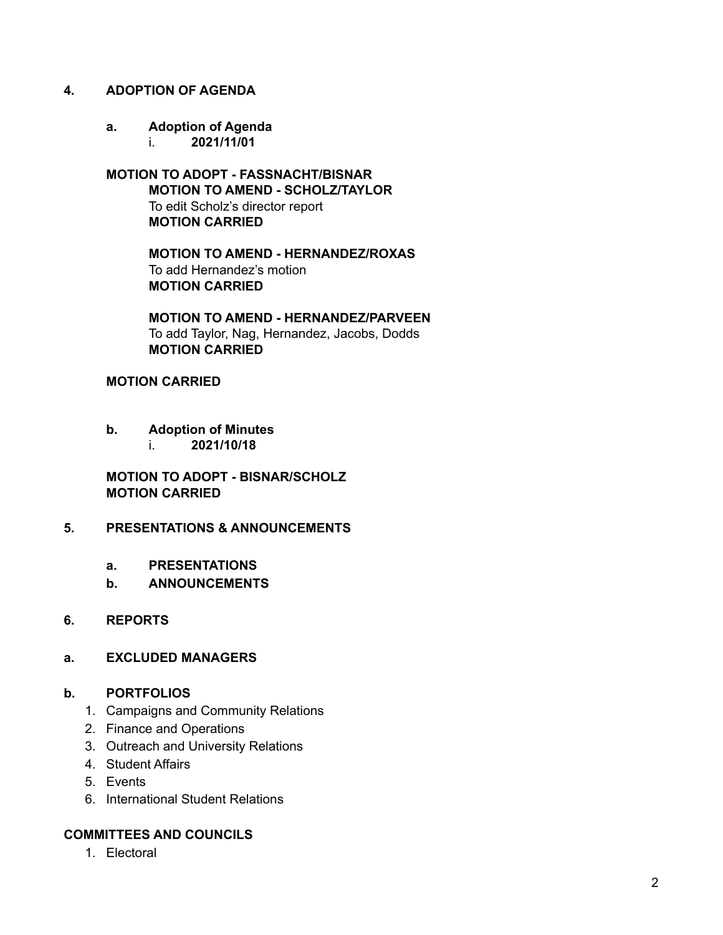#### **4. ADOPTION OF AGENDA**

**a. Adoption of Agenda** i. **2021/11/01**

**MOTION TO ADOPT - FASSNACHT/BISNAR MOTION TO AMEND - SCHOLZ/TAYLOR** To edit Scholz's director report **MOTION CARRIED**

> **MOTION TO AMEND - HERNANDEZ/ROXAS** To add Hernandez's motion **MOTION CARRIED**

**MOTION TO AMEND - HERNANDEZ/PARVEEN** To add Taylor, Nag, Hernandez, Jacobs, Dodds **MOTION CARRIED**

#### **MOTION CARRIED**

- **b. Adoption of Minutes**
	- i. **2021/10/18**

**MOTION TO ADOPT - BISNAR/SCHOLZ MOTION CARRIED**

#### **5. PRESENTATIONS & ANNOUNCEMENTS**

- **a. PRESENTATIONS**
- **b. ANNOUNCEMENTS**

#### **6. REPORTS**

#### **a. EXCLUDED MANAGERS**

#### **b. PORTFOLIOS**

- 1. Campaigns and Community Relations
- 2. Finance and Operations
- 3. Outreach and University Relations
- 4. Student Affairs
- 5. Events
- 6. International Student Relations

### **COMMITTEES AND COUNCILS**

1. Electoral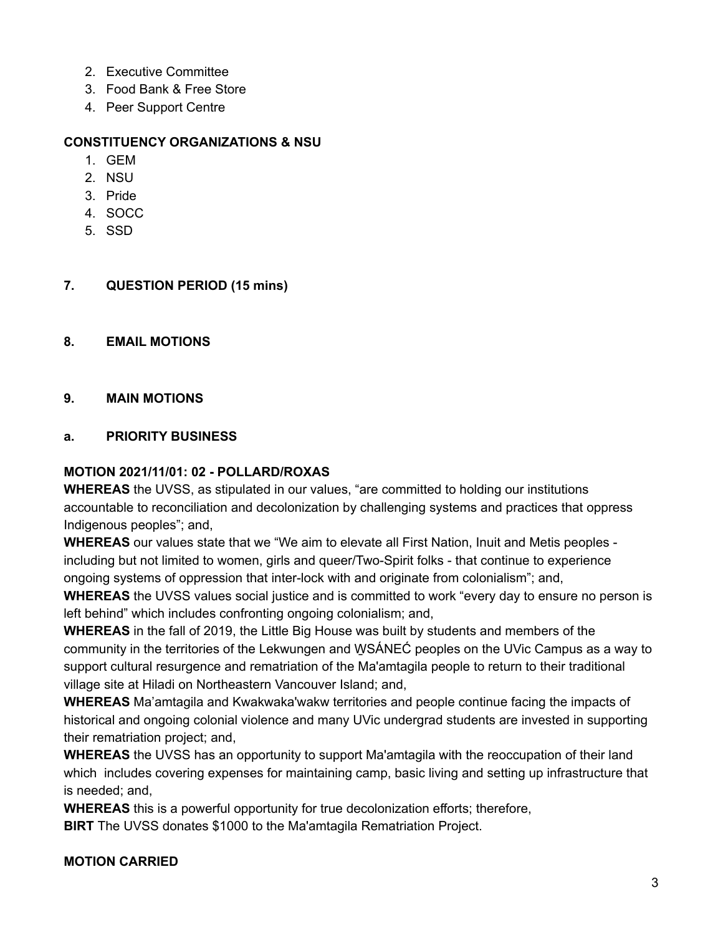- 2. Executive Committee
- 3. Food Bank & Free Store
- 4. Peer Support Centre

#### **CONSTITUENCY ORGANIZATIONS & NSU**

- 1. GEM
- 2. NSU
- 3. Pride
- 4. SOCC
- 5. SSD

### **7. QUESTION PERIOD (15 mins)**

#### **8. EMAIL MOTIONS**

### **9. MAIN MOTIONS**

### **a. PRIORITY BUSINESS**

#### **MOTION 2021/11/01: 02 - POLLARD/ROXAS**

**WHEREAS** the UVSS, as stipulated in our values, "are committed to holding our institutions accountable to reconciliation and decolonization by challenging systems and practices that oppress Indigenous peoples"; and,

**WHEREAS** our values state that we "We aim to elevate all First Nation, Inuit and Metis peoples including but not limited to women, girls and queer/Two-Spirit folks - that continue to experience ongoing systems of oppression that inter-lock with and originate from colonialism"; and,

**WHEREAS** the UVSS values social justice and is committed to work "every day to ensure no person is left behind" which includes confronting ongoing colonialism; and,

**WHEREAS** in the fall of 2019, the Little Big House was built by students and members of the community in the territories of the Lekwungen and W̱SÁNEĆ peoples on the UVic Campus as a way to support cultural resurgence and rematriation of the Ma'amtagila people to return to their traditional village site at Hiladi on Northeastern Vancouver Island; and,

**WHEREAS** Ma'amtagila and Kwakwaka'wakw territories and people continue facing the impacts of historical and ongoing colonial violence and many UVic undergrad students are invested in supporting their rematriation project; and,

**WHEREAS** the UVSS has an opportunity to support Ma'amtagila with the reoccupation of their land which includes covering expenses for maintaining camp, basic living and setting up infrastructure that is needed; and,

**WHEREAS** this is a powerful opportunity for true decolonization efforts; therefore,

**BIRT** The UVSS donates \$1000 to the Ma'amtagila Rematriation Project.

#### **MOTION CARRIED**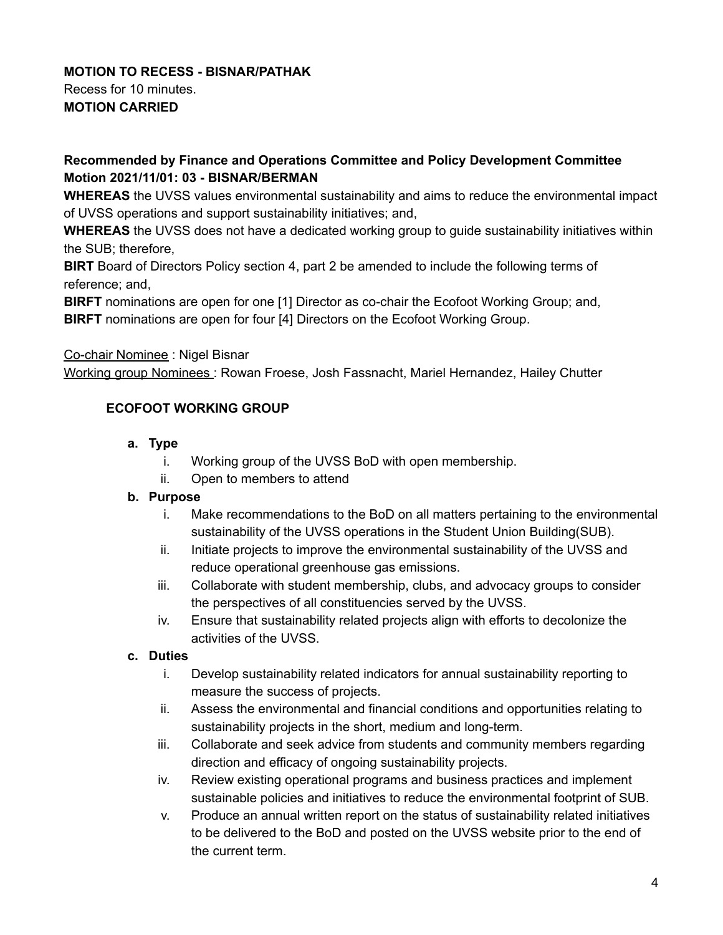# **MOTION TO RECESS - BISNAR/PATHAK**

Recess for 10 minutes. **MOTION CARRIED**

# **Recommended by Finance and Operations Committee and Policy Development Committee Motion 2021/11/01: 03 - BISNAR/BERMAN**

**WHEREAS** the UVSS values environmental sustainability and aims to reduce the environmental impact of UVSS operations and support sustainability initiatives; and,

**WHEREAS** the UVSS does not have a dedicated working group to guide sustainability initiatives within the SUB; therefore,

**BIRT** Board of Directors Policy section 4, part 2 be amended to include the following terms of reference; and,

**BIRFT** nominations are open for one [1] Director as co-chair the Ecofoot Working Group; and, **BIRFT** nominations are open for four [4] Directors on the Ecofoot Working Group.

## Co-chair Nominee : Nigel Bisnar

Working group Nominees : Rowan Froese, Josh Fassnacht, Mariel Hernandez, Hailey Chutter

## **ECOFOOT WORKING GROUP**

### **a. Type**

- i. Working group of the UVSS BoD with open membership.
- ii. Open to members to attend

### **b. Purpose**

- i. Make recommendations to the BoD on all matters pertaining to the environmental sustainability of the UVSS operations in the Student Union Building(SUB).
- ii. Initiate projects to improve the environmental sustainability of the UVSS and reduce operational greenhouse gas emissions.
- iii. Collaborate with student membership, clubs, and advocacy groups to consider the perspectives of all constituencies served by the UVSS.
- iv. Ensure that sustainability related projects align with efforts to decolonize the activities of the UVSS.

# **c. Duties**

- i. Develop sustainability related indicators for annual sustainability reporting to measure the success of projects.
- ii. Assess the environmental and financial conditions and opportunities relating to sustainability projects in the short, medium and long-term.
- iii. Collaborate and seek advice from students and community members regarding direction and efficacy of ongoing sustainability projects.
- iv. Review existing operational programs and business practices and implement sustainable policies and initiatives to reduce the environmental footprint of SUB.
- v. Produce an annual written report on the status of sustainability related initiatives to be delivered to the BoD and posted on the UVSS website prior to the end of the current term.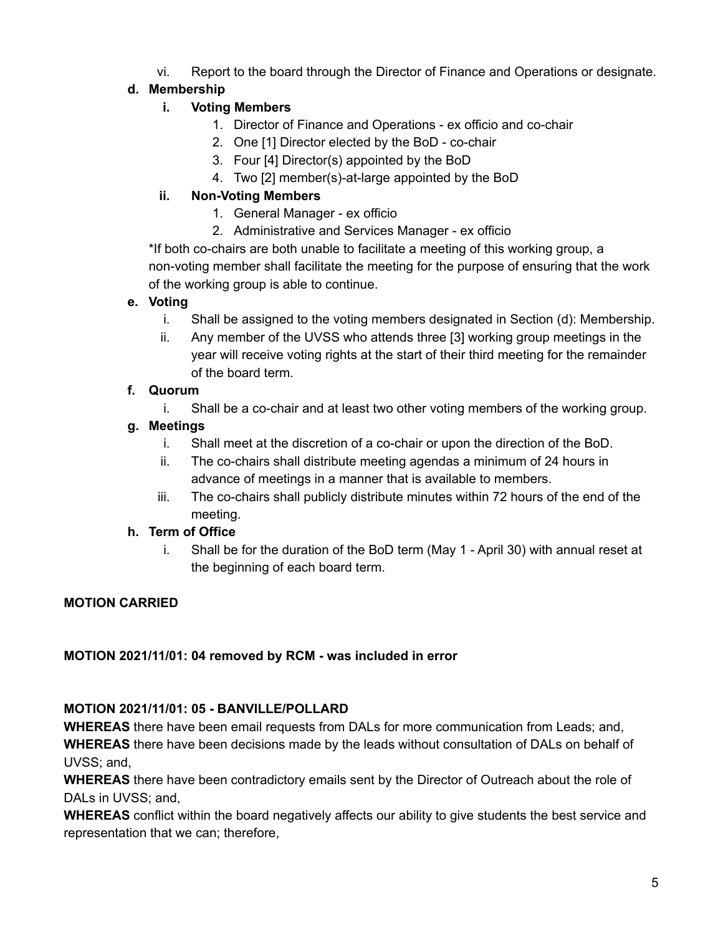vi. Report to the board through the Director of Finance and Operations or designate.

# **d. Membership**

# **i. Voting Members**

- 1. Director of Finance and Operations ex officio and co-chair
- 2. One [1] Director elected by the BoD co-chair
- 3. Four [4] Director(s) appointed by the BoD
- 4. Two [2] member(s)-at-large appointed by the BoD

# **ii. Non-Voting Members**

- 1. General Manager ex officio
- 2. Administrative and Services Manager ex officio

\*If both co-chairs are both unable to facilitate a meeting of this working group, a non-voting member shall facilitate the meeting for the purpose of ensuring that the work of the working group is able to continue.

### **e. Voting**

- i. Shall be assigned to the voting members designated in Section (d): Membership.
- ii. Any member of the UVSS who attends three [3] working group meetings in the year will receive voting rights at the start of their third meeting for the remainder of the board term.

## **f. Quorum**

i. Shall be a co-chair and at least two other voting members of the working group.

## **g. Meetings**

- i. Shall meet at the discretion of a co-chair or upon the direction of the BoD.
- ii. The co-chairs shall distribute meeting agendas a minimum of 24 hours in advance of meetings in a manner that is available to members.
- iii. The co-chairs shall publicly distribute minutes within 72 hours of the end of the meeting.

# **h. Term of Office**

i. Shall be for the duration of the BoD term (May 1 - April 30) with annual reset at the beginning of each board term.

# **MOTION CARRIED**

### **MOTION 2021/11/01: 04 removed by RCM - was included in error**

### **MOTION 2021/11/01: 05 - BANVILLE/POLLARD**

**WHEREAS** there have been email requests from DALs for more communication from Leads; and, **WHEREAS** there have been decisions made by the leads without consultation of DALs on behalf of UVSS; and,

**WHEREAS** there have been contradictory emails sent by the Director of Outreach about the role of DALs in UVSS; and,

**WHEREAS** conflict within the board negatively affects our ability to give students the best service and representation that we can; therefore,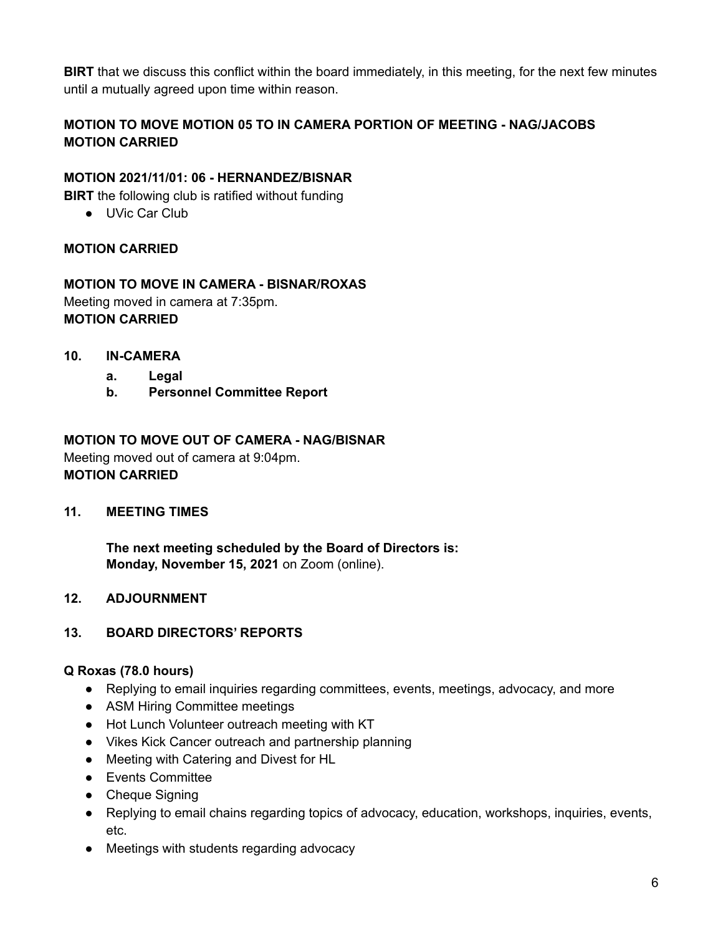**BIRT** that we discuss this conflict within the board immediately, in this meeting, for the next few minutes until a mutually agreed upon time within reason.

# **MOTION TO MOVE MOTION 05 TO IN CAMERA PORTION OF MEETING - NAG/JACOBS MOTION CARRIED**

### **MOTION 2021/11/01: 06 - HERNANDEZ/BISNAR**

**BIRT** the following club is ratified without funding

● UVic Car Club

### **MOTION CARRIED**

### **MOTION TO MOVE IN CAMERA - BISNAR/ROXAS**

Meeting moved in camera at 7:35pm. **MOTION CARRIED**

- **10. IN-CAMERA**
	- **a. Legal**
	- **b. Personnel Committee Report**

### **MOTION TO MOVE OUT OF CAMERA - NAG/BISNAR**

Meeting moved out of camera at 9:04pm. **MOTION CARRIED**

### **11. MEETING TIMES**

**The next meeting scheduled by the Board of Directors is: Monday, November 15, 2021** on Zoom (online).

### **12. ADJOURNMENT**

#### **13. BOARD DIRECTORS' REPORTS**

#### **Q Roxas (78.0 hours)**

- Replying to email inquiries regarding committees, events, meetings, advocacy, and more
- ASM Hiring Committee meetings
- Hot Lunch Volunteer outreach meeting with KT
- Vikes Kick Cancer outreach and partnership planning
- Meeting with Catering and Divest for HL
- Events Committee
- Cheque Signing
- Replying to email chains regarding topics of advocacy, education, workshops, inquiries, events, etc.
- Meetings with students regarding advocacy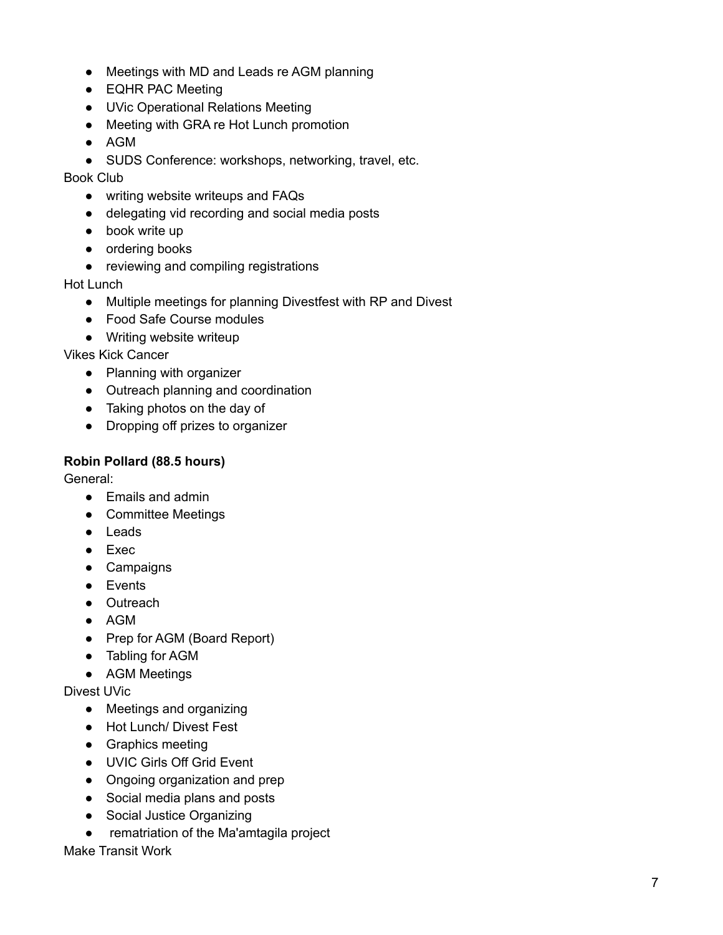- Meetings with MD and Leads re AGM planning
- EQHR PAC Meeting
- UVic Operational Relations Meeting
- Meeting with GRA re Hot Lunch promotion
- AGM
- SUDS Conference: workshops, networking, travel, etc.

Book Club

- writing website writeups and FAQs
- delegating vid recording and social media posts
- book write up
- ordering books
- reviewing and compiling registrations

Hot Lunch

- Multiple meetings for planning Divestfest with RP and Divest
- Food Safe Course modules
- Writing website writeup

Vikes Kick Cancer

- Planning with organizer
- Outreach planning and coordination
- Taking photos on the day of
- Dropping off prizes to organizer

### **Robin Pollard (88.5 hours)**

General:

- Emails and admin
- Committee Meetings
- Leads
- Exec
- Campaigns
- Events
- Outreach
- AGM
- Prep for AGM (Board Report)
- Tabling for AGM
- AGM Meetings

Divest UVic

- Meetings and organizing
- Hot Lunch/ Divest Fest
- Graphics meeting
- UVIC Girls Off Grid Event
- Ongoing organization and prep
- Social media plans and posts
- Social Justice Organizing
- rematriation of the Ma'amtagila project

Make Transit Work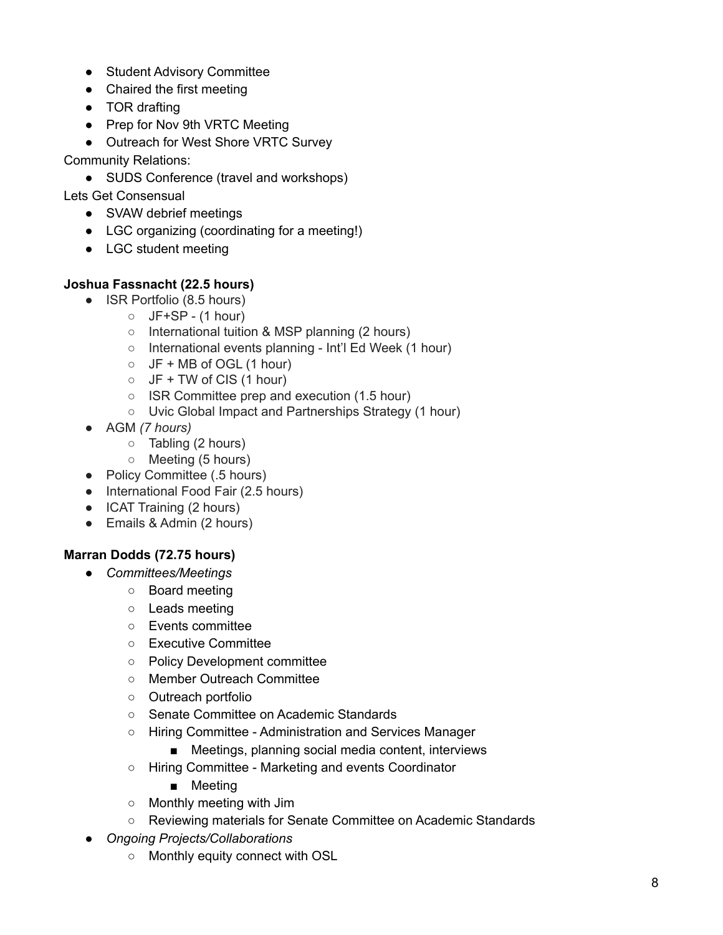- Student Advisory Committee
- Chaired the first meeting
- TOR drafting
- Prep for Nov 9th VRTC Meeting
- Outreach for West Shore VRTC Survey

Community Relations:

• SUDS Conference (travel and workshops)

Lets Get Consensual

- SVAW debrief meetings
- LGC organizing (coordinating for a meeting!)
- LGC student meeting

### **Joshua Fassnacht (22.5 hours)**

- ISR Portfolio (8.5 hours)
	- $\circ$  JF+SP (1 hour)
	- International tuition & MSP planning (2 hours)
	- International events planning Int'l Ed Week (1 hour)
	- $\circ$  JF + MB of OGL (1 hour)
	- $\circ$  JF + TW of CIS (1 hour)
	- ISR Committee prep and execution (1.5 hour)
	- Uvic Global Impact and Partnerships Strategy (1 hour)
- AGM *(7 hours)*
	- Tabling (2 hours)
	- Meeting (5 hours)
- Policy Committee (.5 hours)
- International Food Fair (2.5 hours)
- ICAT Training (2 hours)
- Emails & Admin (2 hours)

### **Marran Dodds (72.75 hours)**

- *● Committees/Meetings*
	- Board meeting
	- Leads meeting
	- Events committee
	- Executive Committee
	- Policy Development committee
	- Member Outreach Committee
	- Outreach portfolio
	- Senate Committee on Academic Standards
	- Hiring Committee Administration and Services Manager
		- Meetings, planning social media content, interviews
	- Hiring Committee Marketing and events Coordinator
		- Meeting
	- Monthly meeting with Jim
	- Reviewing materials for Senate Committee on Academic Standards
- *● Ongoing Projects/Collaborations*
	- Monthly equity connect with OSL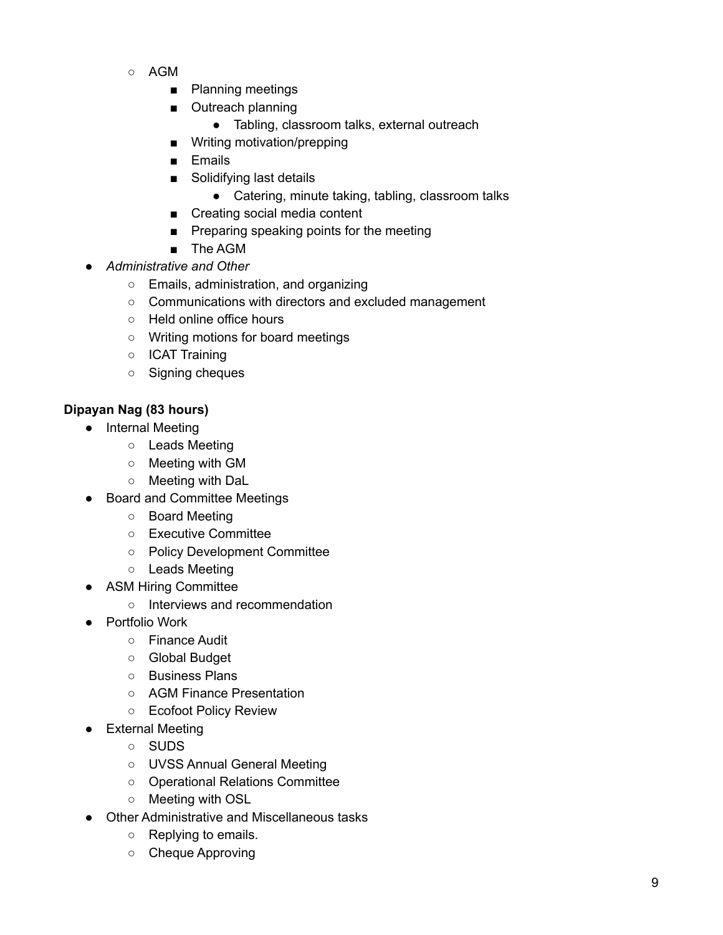- AGM
	- Planning meetings
	- Outreach planning
		- Tabling, classroom talks, external outreach
	- Writing motivation/prepping
	- Emails
	- Solidifying last details
		- Catering, minute taking, tabling, classroom talks
	- Creating social media content
	- Preparing speaking points for the meeting
	- The AGM
- *● Administrative and Other*
	- Emails, administration, and organizing
	- Communications with directors and excluded management
	- Held online office hours
	- Writing motions for board meetings
	- ICAT Training
	- Signing cheques

## **Dipayan Nag (83 hours)**

- Internal Meeting
	- Leads Meeting
	- Meeting with GM
	- Meeting with DaL
- Board and Committee Meetings
	- Board Meeting
	- Executive Committee
	- Policy Development Committee
	- Leads Meeting
- ASM Hiring Committee
	- Interviews and recommendation
- Portfolio Work
	- Finance Audit
	- Global Budget
	- Business Plans
	- AGM Finance Presentation
	- Ecofoot Policy Review
- External Meeting
	- SUDS
	- UVSS Annual General Meeting
	- Operational Relations Committee
	- Meeting with OSL
- Other Administrative and Miscellaneous tasks
	- Replying to emails.
	- Cheque Approving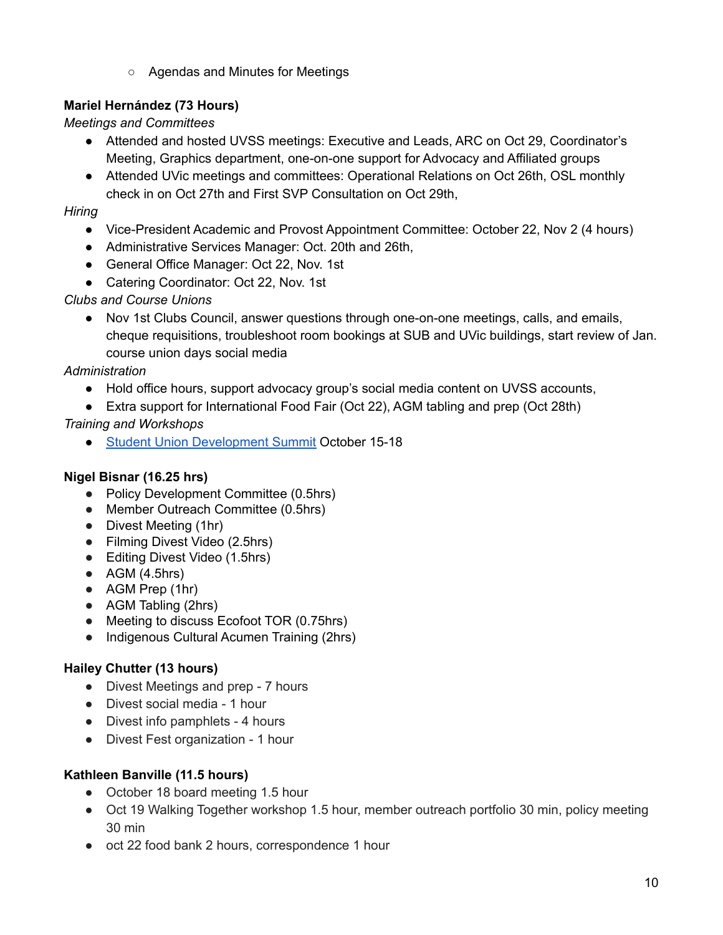○ Agendas and Minutes for Meetings

# **Mariel Hernández (73 Hours)**

*Meetings and Committees*

- Attended and hosted UVSS meetings: Executive and Leads, ARC on Oct 29, Coordinator's Meeting, Graphics department, one-on-one support for Advocacy and Affiliated groups
- Attended UVic meetings and committees: Operational Relations on Oct 26th, OSL monthly check in on Oct 27th and First SVP Consultation on Oct 29th,

# *Hiring*

- Vice-President Academic and Provost Appointment Committee: October 22, Nov 2 (4 hours)
- Administrative Services Manager: Oct. 20th and 26th,
- General Office Manager: Oct 22, Nov. 1st
- Catering Coordinator: Oct 22, Nov. 1st

# *Clubs and Course Unions*

● Nov 1st Clubs Council, answer questions through one-on-one meetings, calls, and emails, cheque requisitions, troubleshoot room bookings at SUB and UVic buildings, start review of Jan. course union days social media

# *Administration*

- Hold office hours, support advocacy group's social media content on UVSS accounts,
- Extra support for International Food Fair (Oct 22), AGM tabling and prep (Oct 28th)

# *Training and Workshops*

● Student Union [Development](https://www.sudsummit.ca/) Summit October 15-18

# **Nigel Bisnar (16.25 hrs)**

- Policy Development Committee (0.5hrs)
- Member Outreach Committee (0.5hrs)
- Divest Meeting (1hr)
- Filming Divest Video (2.5hrs)
- Editing Divest Video (1.5hrs)
- $\bullet$  AGM (4.5hrs)
- AGM Prep (1hr)
- AGM Tabling (2hrs)
- Meeting to discuss Ecofoot TOR (0.75hrs)
- Indigenous Cultural Acumen Training (2hrs)

# **Hailey Chutter (13 hours)**

- Divest Meetings and prep 7 hours
- Divest social media 1 hour
- Divest info pamphlets 4 hours
- Divest Fest organization 1 hour

# **Kathleen Banville (11.5 hours)**

- October 18 board meeting 1.5 hour
- Oct 19 Walking Together workshop 1.5 hour, member outreach portfolio 30 min, policy meeting 30 min
- oct 22 food bank 2 hours, correspondence 1 hour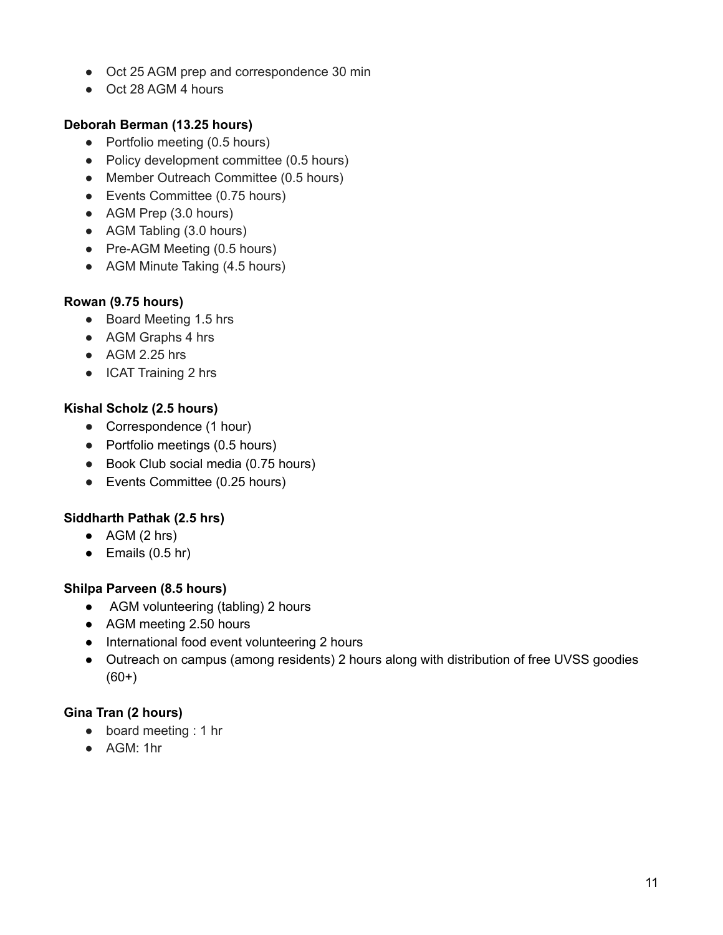- Oct 25 AGM prep and correspondence 30 min
- Oct 28 AGM 4 hours

### **Deborah Berman (13.25 hours)**

- Portfolio meeting (0.5 hours)
- Policy development committee (0.5 hours)
- Member Outreach Committee (0.5 hours)
- Events Committee (0.75 hours)
- AGM Prep (3.0 hours)
- AGM Tabling (3.0 hours)
- Pre-AGM Meeting (0.5 hours)
- AGM Minute Taking (4.5 hours)

### **Rowan (9.75 hours)**

- Board Meeting 1.5 hrs
- AGM Graphs 4 hrs
- $\bullet$  AGM 2.25 hrs
- ICAT Training 2 hrs

### **Kishal Scholz (2.5 hours)**

- Correspondence (1 hour)
- Portfolio meetings (0.5 hours)
- Book Club social media (0.75 hours)
- Events Committee (0.25 hours)

### **Siddharth Pathak (2.5 hrs)**

- $\bullet$  AGM (2 hrs)
- $\bullet$  Emails (0.5 hr)

### **Shilpa Parveen (8.5 hours)**

- AGM volunteering (tabling) 2 hours
- AGM meeting 2.50 hours
- International food event volunteering 2 hours
- Outreach on campus (among residents) 2 hours along with distribution of free UVSS goodies  $(60+)$

# **Gina Tran (2 hours)**

- board meeting : 1 hr
- AGM: 1hr